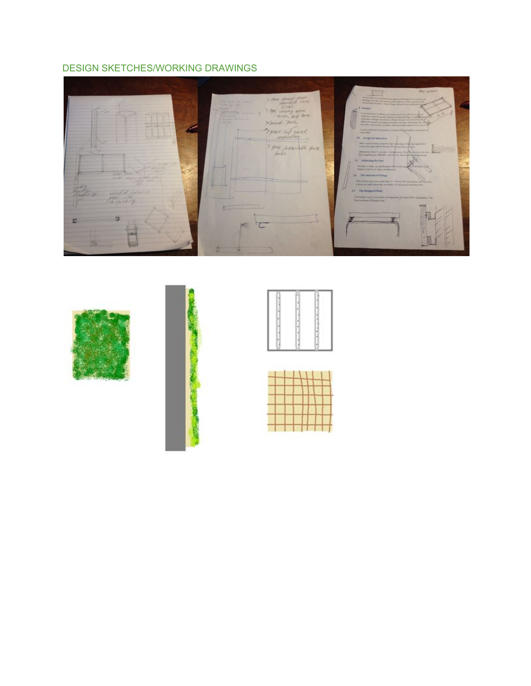## DESIGN SKETCHES/WORKING DRAWINGS





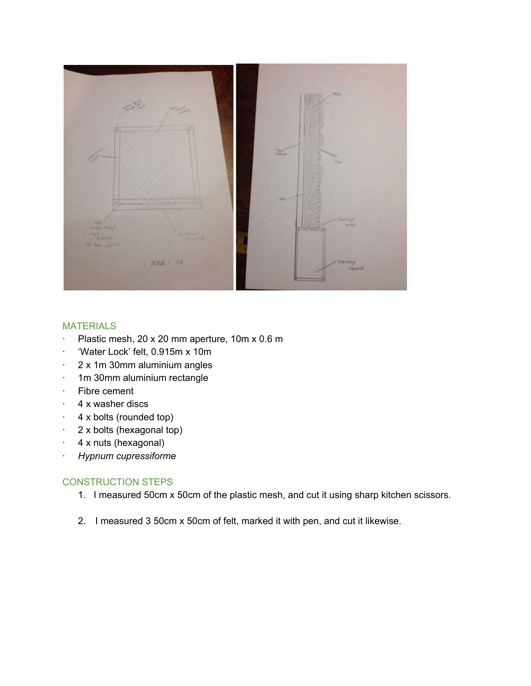

#### MATERIALS

- · Plastic mesh, 20 x 20 mm aperture, 10m x 0.6 m
- · 'Water Lock' felt, 0.915m x 10m
- · 2 x 1m 30mm aluminium angles
- · 1m 30mm aluminium rectangle
- · Fibre cement
- · 4 x washer discs
- $\cdot$  4 x bolts (rounded top)
- · 2 x bolts (hexagonal top)
- $\cdot$  4 x nuts (hexagonal)
- · *Hypnum cupressiforme*

#### CONSTRUCTION STEPS

- 1. I measured 50cm x 50cm of the plastic mesh, and cut it using sharp kitchen scissors.
- 2. I measured 3 50cm x 50cm of felt, marked it with pen, and cut it likewise.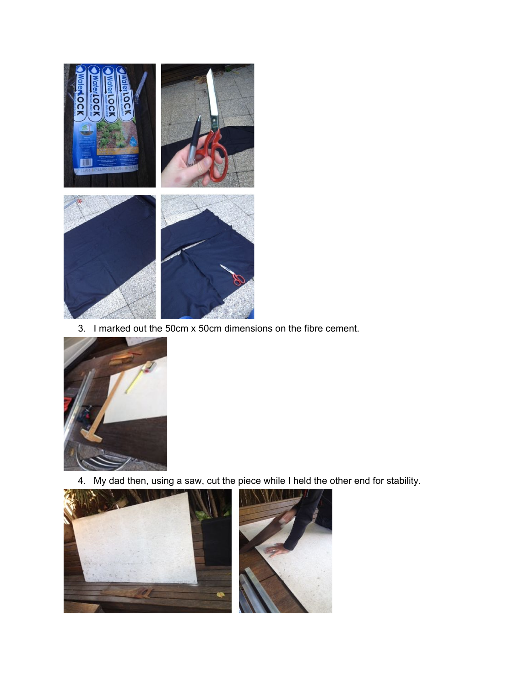

3. I marked out the 50cm x 50cm dimensions on the fibre cement.



4. My dad then, using a saw, cut the piece while I held the other end for stability.

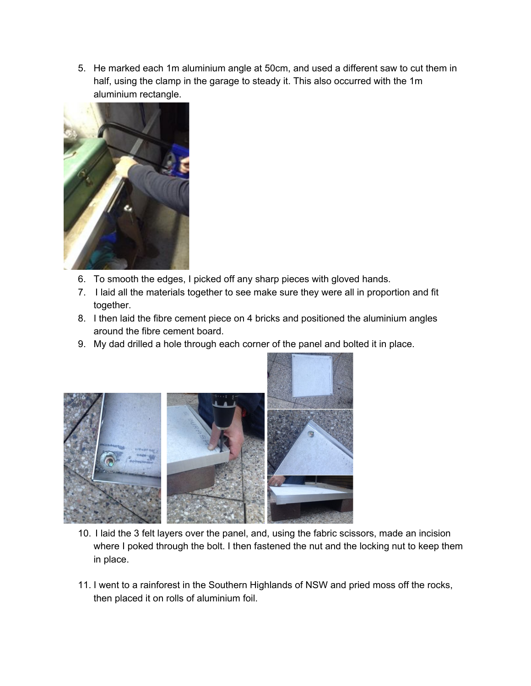5. He marked each 1m aluminium angle at 50cm, and used a different saw to cut them in half, using the clamp in the garage to steady it. This also occurred with the 1m aluminium rectangle.



- 6. To smooth the edges, I picked off any sharp pieces with gloved hands.
- 7. I laid all the materials together to see make sure they were all in proportion and fit together.
- 8. I then laid the fibre cement piece on 4 bricks and positioned the aluminium angles around the fibre cement board.
- 9. My dad drilled a hole through each corner of the panel and bolted it in place.



- 10. I laid the 3 felt layers over the panel, and, using the fabric scissors, made an incision where I poked through the bolt. I then fastened the nut and the locking nut to keep them in place.
- 11. I went to a rainforest in the Southern Highlands of NSW and pried moss off the rocks, then placed it on rolls of aluminium foil.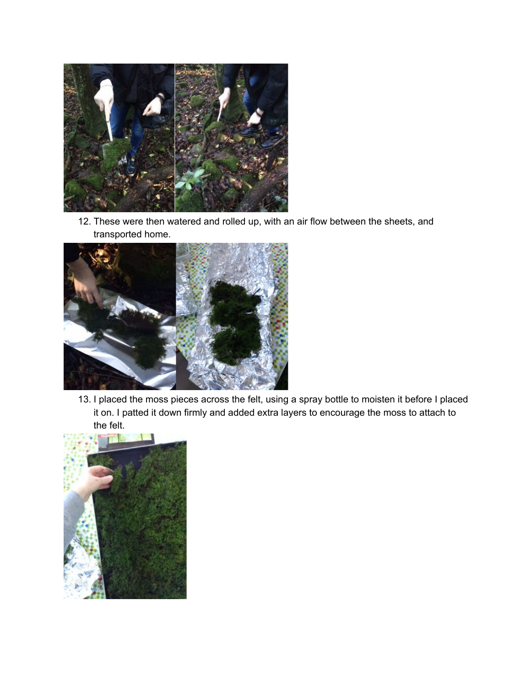

12. These were then watered and rolled up, with an air flow between the sheets, and transported home.



13. I placed the moss pieces across the felt, using a spray bottle to moisten it before I placed it on. I patted it down firmly and added extra layers to encourage the moss to attach to the felt.

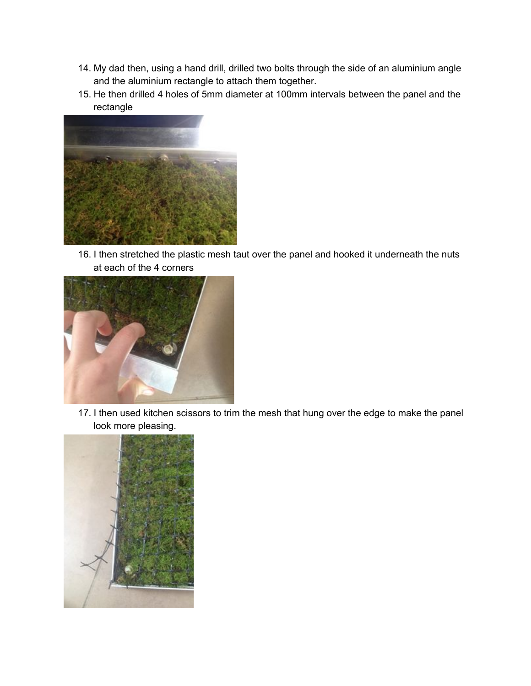- 14. My dad then, using a hand drill, drilled two bolts through the side of an aluminium angle and the aluminium rectangle to attach them together.
- 15. He then drilled 4 holes of 5mm diameter at 100mm intervals between the panel and the rectangle



16. I then stretched the plastic mesh taut over the panel and hooked it underneath the nuts at each of the 4 corners



17. I then used kitchen scissors to trim the mesh that hung over the edge to make the panel look more pleasing.

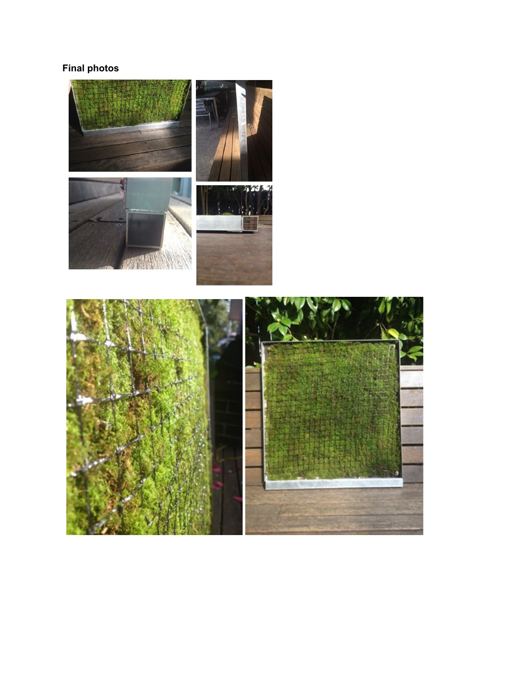# **Final photos**

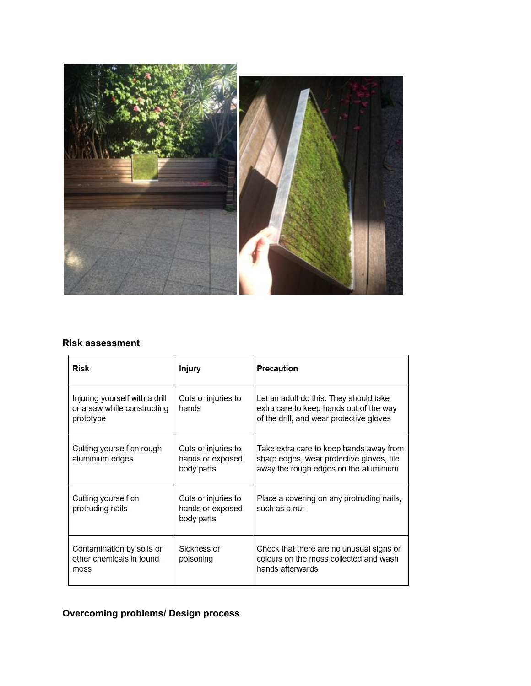

## **Risk assessment**

| <b>Risk</b>                                                                | Injury                                                | Precaution                                                                                                                    |
|----------------------------------------------------------------------------|-------------------------------------------------------|-------------------------------------------------------------------------------------------------------------------------------|
| Injuring yourself with a drill<br>or a saw while constructing<br>prototype | Cuts or injuries to<br>hands                          | Let an adult do this. They should take<br>extra care to keep hands out of the way<br>of the drill, and wear protective gloves |
| Cutting yourself on rough<br>aluminium edges                               | Cuts or injuries to<br>hands or exposed<br>body parts | Take extra care to keep hands away from<br>sharp edges, wear protective gloves, file<br>away the rough edges on the aluminium |
| Cutting yourself on<br>protruding nails                                    | Cuts or injuries to<br>hands or exposed<br>body parts | Place a covering on any protruding nails,<br>such as a nut                                                                    |
| Contamination by soils or<br>other chemicals in found<br>moss              | Sickness or<br>poisoning                              | Check that there are no unusual signs or<br>colours on the moss collected and wash<br>hands afterwards                        |

# **Overcoming problems/ Design process**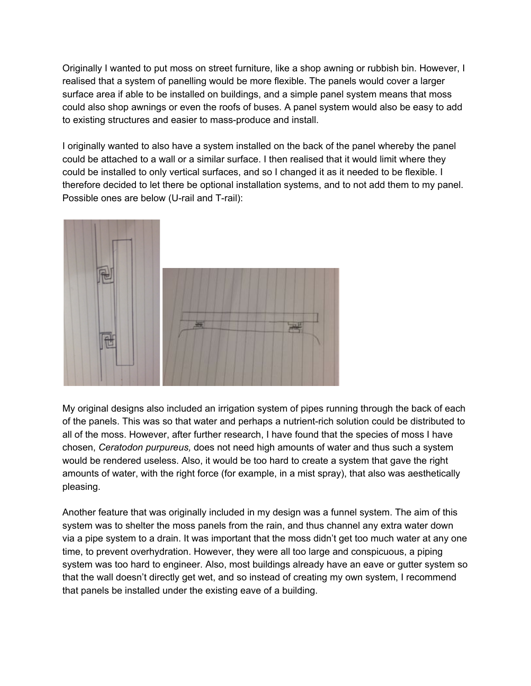Originally I wanted to put moss on street furniture, like a shop awning or rubbish bin. However, I realised that a system of panelling would be more flexible. The panels would cover a larger surface area if able to be installed on buildings, and a simple panel system means that moss could also shop awnings or even the roofs of buses. A panel system would also be easy to add to existing structures and easier to mass-produce and install.

I originally wanted to also have a system installed on the back of the panel whereby the panel could be attached to a wall or a similar surface. I then realised that it would limit where they could be installed to only vertical surfaces, and so I changed it as it needed to be flexible. I therefore decided to let there be optional installation systems, and to not add them to my panel. Possible ones are below (U-rail and T-rail):



My original designs also included an irrigation system of pipes running through the back of each of the panels. This was so that water and perhaps a nutrient-rich solution could be distributed to all of the moss. However, after further research, I have found that the species of moss I have chosen, *Ceratodon purpureus,* does not need high amounts of water and thus such a system would be rendered useless. Also, it would be too hard to create a system that gave the right amounts of water, with the right force (for example, in a mist spray), that also was aesthetically pleasing.

Another feature that was originally included in my design was a funnel system. The aim of this system was to shelter the moss panels from the rain, and thus channel any extra water down via a pipe system to a drain. It was important that the moss didn't get too much water at any one time, to prevent overhydration. However, they were all too large and conspicuous, a piping system was too hard to engineer. Also, most buildings already have an eave or gutter system so that the wall doesn't directly get wet, and so instead of creating my own system, I recommend that panels be installed under the existing eave of a building.